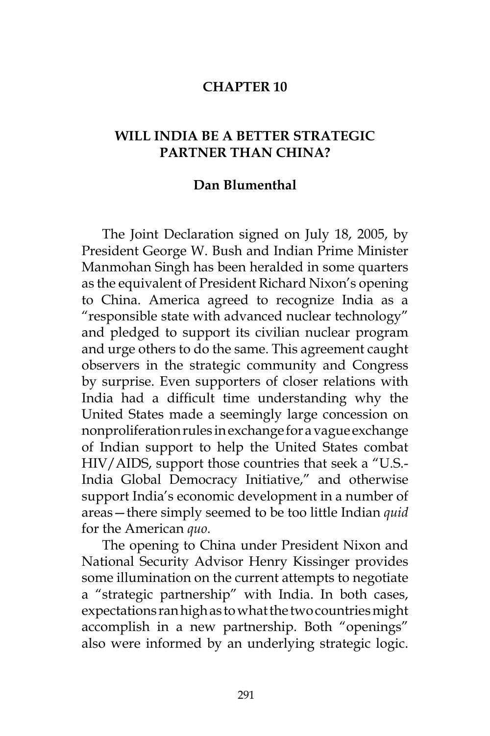#### **CHAPTER 10**

#### **WILL INDIA BE A BETTER STRATEGIC PARTNER THAN CHINA?**

#### **Dan Blumenthal**

The Joint Declaration signed on July 18, 2005, by President George W. Bush and Indian Prime Minister Manmohan Singh has been heralded in some quarters as the equivalent of President Richard Nixon's opening to China. America agreed to recognize India as a "responsible state with advanced nuclear technology" and pledged to support its civilian nuclear program and urge others to do the same. This agreement caught observers in the strategic community and Congress by surprise. Even supporters of closer relations with India had a difficult time understanding why the United States made a seemingly large concession on nonproliferation rules in exchange for a vague exchange of Indian support to help the United States combat HIV/AIDS, support those countries that seek a "U.S.- India Global Democracy Initiative," and otherwise support India's economic development in a number of areas—there simply seemed to be too little Indian *quid* for the American *quo*.

The opening to China under President Nixon and National Security Advisor Henry Kissinger provides some illumination on the current attempts to negotiate a "strategic partnership" with India. In both cases, expectations ran high as to what the two countries might accomplish in a new partnership. Both "openings" also were informed by an underlying strategic logic.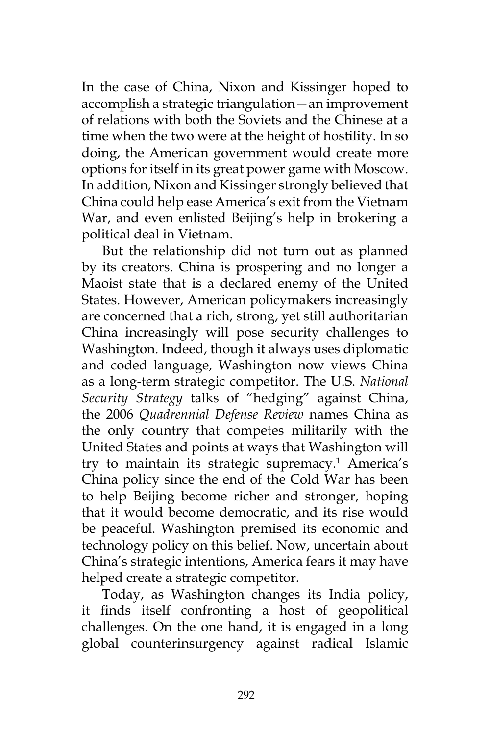In the case of China, Nixon and Kissinger hoped to accomplish a strategic triangulation—an improvement of relations with both the Soviets and the Chinese at a time when the two were at the height of hostility. In so doing, the American government would create more options for itself in its great power game with Moscow. In addition, Nixon and Kissinger strongly believed that China could help ease America's exit from the Vietnam War, and even enlisted Beijing's help in brokering a political deal in Vietnam.

But the relationship did not turn out as planned by its creators. China is prospering and no longer a Maoist state that is a declared enemy of the United States. However, American policymakers increasingly are concerned that a rich, strong, yet still authoritarian China increasingly will pose security challenges to Washington. Indeed, though it always uses diplomatic and coded language, Washington now views China as a long-term strategic competitor. The U.S. *National Security Strategy* talks of "hedging" against China, the 2006 *Quadrennial Defense Review* names China as the only country that competes militarily with the United States and points at ways that Washington will try to maintain its strategic supremacy.<sup>1</sup> America's China policy since the end of the Cold War has been to help Beijing become richer and stronger, hoping that it would become democratic, and its rise would be peaceful. Washington premised its economic and technology policy on this belief. Now, uncertain about China's strategic intentions, America fears it may have helped create a strategic competitor.

Today, as Washington changes its India policy, it finds itself confronting a host of geopolitical challenges. On the one hand, it is engaged in a long global counterinsurgency against radical Islamic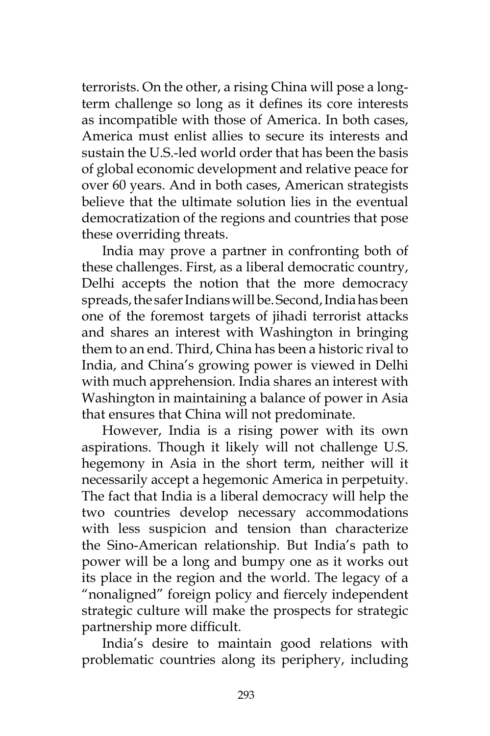terrorists. On the other, a rising China will pose a longterm challenge so long as it defines its core interests as incompatible with those of America. In both cases, America must enlist allies to secure its interests and sustain the U.S.-led world order that has been the basis of global economic development and relative peace for over 60 years. And in both cases, American strategists believe that the ultimate solution lies in the eventual democratization of the regions and countries that pose these overriding threats.

India may prove a partner in confronting both of these challenges. First, as a liberal democratic country, Delhi accepts the notion that the more democracy spreads, the safer Indians will be. Second, India has been one of the foremost targets of jihadi terrorist attacks and shares an interest with Washington in bringing them to an end. Third, China has been a historic rival to India, and China's growing power is viewed in Delhi with much apprehension. India shares an interest with Washington in maintaining a balance of power in Asia that ensures that China will not predominate.

However, India is a rising power with its own aspirations. Though it likely will not challenge U.S. hegemony in Asia in the short term, neither will it necessarily accept a hegemonic America in perpetuity. The fact that India is a liberal democracy will help the two countries develop necessary accommodations with less suspicion and tension than characterize the Sino-American relationship. But India's path to power will be a long and bumpy one as it works out its place in the region and the world. The legacy of a "nonaligned" foreign policy and fiercely independent strategic culture will make the prospects for strategic partnership more difficult.

India's desire to maintain good relations with problematic countries along its periphery, including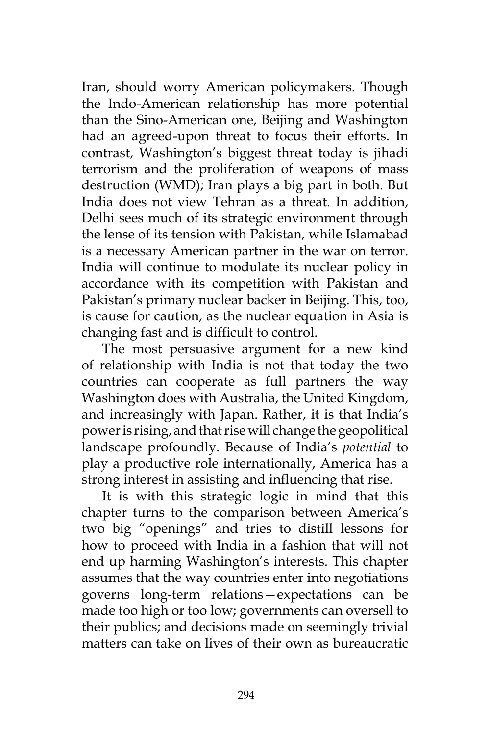Iran, should worry American policymakers. Though the Indo-American relationship has more potential than the Sino-American one, Beijing and Washington had an agreed-upon threat to focus their efforts. In contrast, Washington's biggest threat today is jihadi terrorism and the proliferation of weapons of mass destruction (WMD); Iran plays a big part in both. But India does not view Tehran as a threat. In addition, Delhi sees much of its strategic environment through the lense of its tension with Pakistan, while Islamabad is a necessary American partner in the war on terror. India will continue to modulate its nuclear policy in accordance with its competition with Pakistan and Pakistan's primary nuclear backer in Beijing. This, too, is cause for caution, as the nuclear equation in Asia is changing fast and is difficult to control.

The most persuasive argument for a new kind of relationship with India is not that today the two countries can cooperate as full partners the way Washington does with Australia, the United Kingdom, and increasingly with Japan. Rather, it is that India's power is rising, and that rise will change the geopolitical landscape profoundly. Because of India's *potential* to play a productive role internationally, America has a strong interest in assisting and influencing that rise.

It is with this strategic logic in mind that this chapter turns to the comparison between America's two big "openings" and tries to distill lessons for how to proceed with India in a fashion that will not end up harming Washington's interests. This chapter assumes that the way countries enter into negotiations governs long-term relations—expectations can be made too high or too low; governments can oversell to their publics; and decisions made on seemingly trivial matters can take on lives of their own as bureaucratic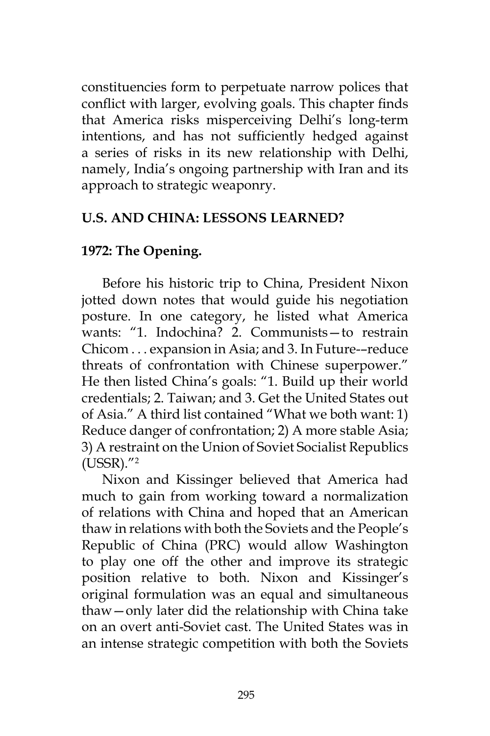constituencies form to perpetuate narrow polices that conflict with larger, evolving goals. This chapter finds that America risks misperceiving Delhi's long-term intentions, and has not sufficiently hedged against a series of risks in its new relationship with Delhi, namely, India's ongoing partnership with Iran and its approach to strategic weaponry.

#### **U.S. AND CHINA: LESSONS LEARNED?**

### **1972: The Opening.**

Before his historic trip to China, President Nixon jotted down notes that would guide his negotiation posture. In one category, he listed what America wants: "1. Indochina? 2. Communists—to restrain Chicom . . . expansion in Asia; and 3. In Future-–reduce threats of confrontation with Chinese superpower." He then listed China's goals: "1. Build up their world credentials; 2. Taiwan; and 3. Get the United States out of Asia." A third list contained "What we both want: 1) Reduce danger of confrontation; 2) A more stable Asia; 3) A restraint on the Union of Soviet Socialist Republics (USSR)."2

Nixon and Kissinger believed that America had much to gain from working toward a normalization of relations with China and hoped that an American thaw in relations with both the Soviets and the People's Republic of China (PRC) would allow Washington to play one off the other and improve its strategic position relative to both. Nixon and Kissinger's original formulation was an equal and simultaneous thaw—only later did the relationship with China take on an overt anti-Soviet cast. The United States was in an intense strategic competition with both the Soviets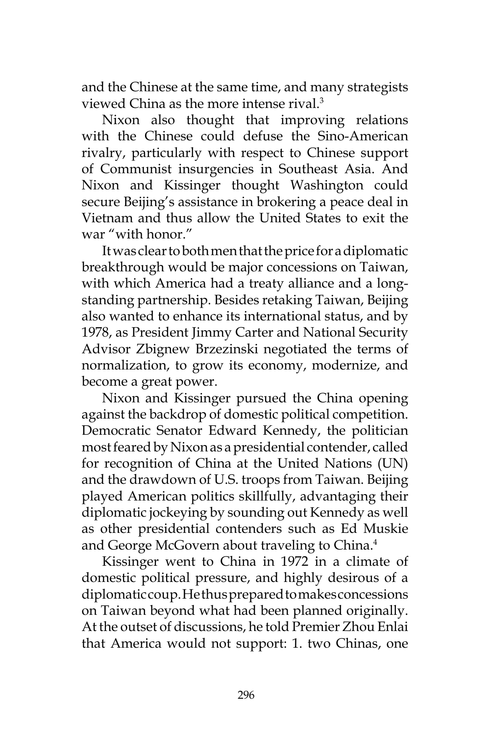and the Chinese at the same time, and many strategists viewed China as the more intense rival.<sup>3</sup>

Nixon also thought that improving relations with the Chinese could defuse the Sino-American rivalry, particularly with respect to Chinese support of Communist insurgencies in Southeast Asia. And Nixon and Kissinger thought Washington could secure Beijing's assistance in brokering a peace deal in Vietnam and thus allow the United States to exit the war "with honor."

It was clear to both men that the price for a diplomatic breakthrough would be major concessions on Taiwan, with which America had a treaty alliance and a longstanding partnership. Besides retaking Taiwan, Beijing also wanted to enhance its international status, and by 1978, as President Jimmy Carter and National Security Advisor Zbignew Brzezinski negotiated the terms of normalization, to grow its economy, modernize, and become a great power.

Nixon and Kissinger pursued the China opening against the backdrop of domestic political competition. Democratic Senator Edward Kennedy, the politician most feared by Nixon as a presidential contender, called for recognition of China at the United Nations (UN) and the drawdown of U.S. troops from Taiwan. Beijing played American politics skillfully, advantaging their diplomatic jockeying by sounding out Kennedy as well as other presidential contenders such as Ed Muskie and George McGovern about traveling to China.<sup>4</sup>

Kissinger went to China in 1972 in a climate of domestic political pressure, and highly desirous of a diplomatic coup. He thus prepared to makes concessions on Taiwan beyond what had been planned originally. At the outset of discussions, he told Premier Zhou Enlai that America would not support: 1. two Chinas, one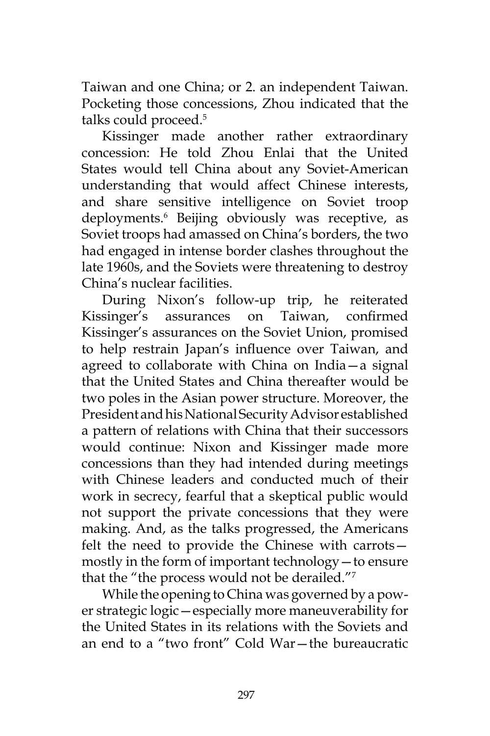Taiwan and one China; or 2. an independent Taiwan. Pocketing those concessions, Zhou indicated that the talks could proceed.<sup>5</sup>

Kissinger made another rather extraordinary concession: He told Zhou Enlai that the United States would tell China about any Soviet-American understanding that would affect Chinese interests, and share sensitive intelligence on Soviet troop deployments.6 Beijing obviously was receptive, as Soviet troops had amassed on China's borders, the two had engaged in intense border clashes throughout the late 1960s, and the Soviets were threatening to destroy China's nuclear facilities.

During Nixon's follow-up trip, he reiterated Kissinger's assurances on Taiwan, confirmed Kissinger's assurances on the Soviet Union, promised to help restrain Japan's influence over Taiwan, and agreed to collaborate with China on India—a signal that the United States and China thereafter would be two poles in the Asian power structure. Moreover, the President and his National Security Advisor established a pattern of relations with China that their successors would continue: Nixon and Kissinger made more concessions than they had intended during meetings with Chinese leaders and conducted much of their work in secrecy, fearful that a skeptical public would not support the private concessions that they were making. And, as the talks progressed, the Americans felt the need to provide the Chinese with carrots mostly in the form of important technology—to ensure that the "the process would not be derailed."7

While the opening to China was governed by a power strategic logic—especially more maneuverability for the United States in its relations with the Soviets and an end to a "two front" Cold War—the bureaucratic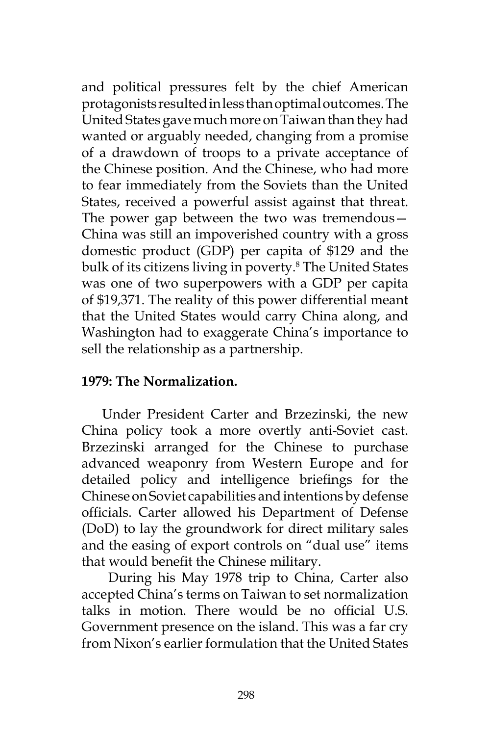and political pressures felt by the chief American protagonists resulted in less than optimal outcomes. The United States gave much more on Taiwan than they had wanted or arguably needed, changing from a promise of a drawdown of troops to a private acceptance of the Chinese position. And the Chinese, who had more to fear immediately from the Soviets than the United States, received a powerful assist against that threat. The power gap between the two was tremendous— China was still an impoverished country with a gross domestic product (GDP) per capita of \$129 and the bulk of its citizens living in poverty.<sup>8</sup> The United States was one of two superpowers with a GDP per capita of \$19,371. The reality of this power differential meant that the United States would carry China along, and Washington had to exaggerate China's importance to sell the relationship as a partnership.

# **1979: The Normalization.**

Under President Carter and Brzezinski, the new China policy took a more overtly anti-Soviet cast. Brzezinski arranged for the Chinese to purchase advanced weaponry from Western Europe and for detailed policy and intelligence briefings for the Chinese on Soviet capabilities and intentions by defense officials. Carter allowed his Department of Defense (DoD) to lay the groundwork for direct military sales and the easing of export controls on "dual use" items that would benefit the Chinese military.

During his May 1978 trip to China, Carter also accepted China's terms on Taiwan to set normalization talks in motion. There would be no official U.S. Government presence on the island. This was a far cry from Nixon's earlier formulation that the United States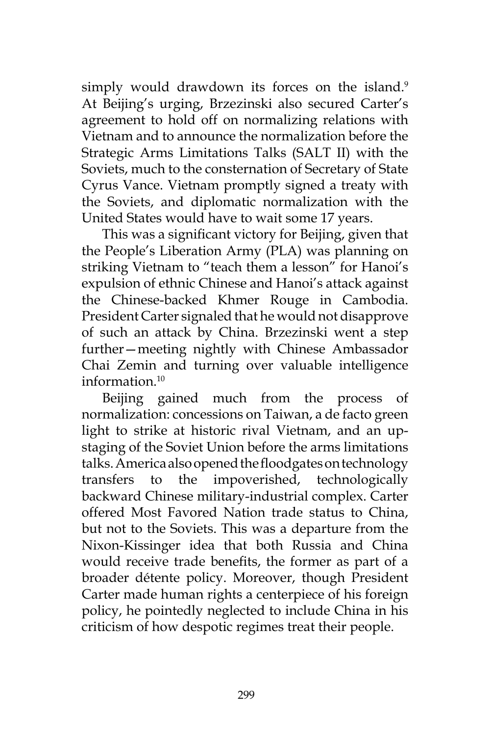simply would drawdown its forces on the island.<sup>9</sup> At Beijing's urging, Brzezinski also secured Carter's agreement to hold off on normalizing relations with Vietnam and to announce the normalization before the Strategic Arms Limitations Talks (SALT II) with the Soviets, much to the consternation of Secretary of State Cyrus Vance. Vietnam promptly signed a treaty with the Soviets, and diplomatic normalization with the United States would have to wait some 17 years.

This was a significant victory for Beijing, given that the People's Liberation Army (PLA) was planning on striking Vietnam to "teach them a lesson" for Hanoi's expulsion of ethnic Chinese and Hanoi's attack against the Chinese-backed Khmer Rouge in Cambodia. President Carter signaled that he would not disapprove of such an attack by China. Brzezinski went a step further—meeting nightly with Chinese Ambassador Chai Zemin and turning over valuable intelligence information.10

Beijing gained much from the process of normalization: concessions on Taiwan, a de facto green light to strike at historic rival Vietnam, and an upstaging of the Soviet Union before the arms limitations talks. America also opened the floodgates on technology transfers to the impoverished, technologically backward Chinese military-industrial complex. Carter offered Most Favored Nation trade status to China, but not to the Soviets. This was a departure from the Nixon-Kissinger idea that both Russia and China would receive trade benefits, the former as part of a broader détente policy. Moreover, though President Carter made human rights a centerpiece of his foreign policy, he pointedly neglected to include China in his criticism of how despotic regimes treat their people.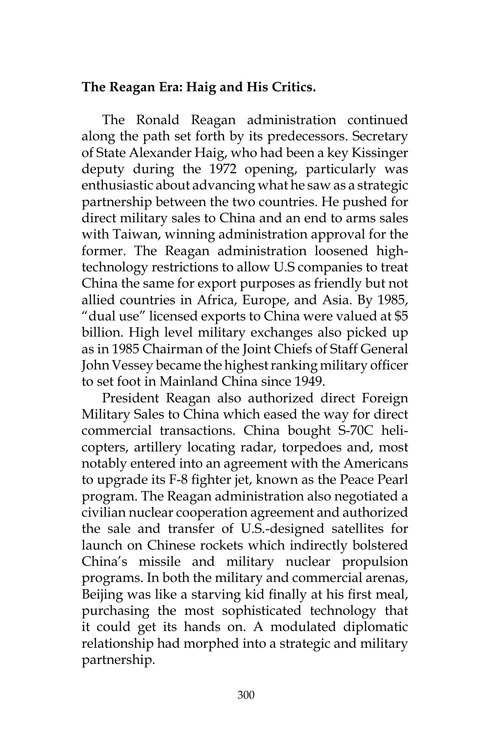## **The Reagan Era: Haig and His Critics.**

The Ronald Reagan administration continued along the path set forth by its predecessors. Secretary of State Alexander Haig, who had been a key Kissinger deputy during the 1972 opening, particularly was enthusiastic about advancing what he saw as a strategic partnership between the two countries. He pushed for direct military sales to China and an end to arms sales with Taiwan, winning administration approval for the former. The Reagan administration loosened hightechnology restrictions to allow U.S companies to treat China the same for export purposes as friendly but not allied countries in Africa, Europe, and Asia. By 1985, "dual use" licensed exports to China were valued at \$5 billion. High level military exchanges also picked up as in 1985 Chairman of the Joint Chiefs of Staff General John Vessey became the highest ranking military officer to set foot in Mainland China since 1949.

President Reagan also authorized direct Foreign Military Sales to China which eased the way for direct commercial transactions. China bought S-70C helicopters, artillery locating radar, torpedoes and, most notably entered into an agreement with the Americans to upgrade its F-8 fighter jet, known as the Peace Pearl program. The Reagan administration also negotiated a civilian nuclear cooperation agreement and authorized the sale and transfer of U.S.-designed satellites for launch on Chinese rockets which indirectly bolstered China's missile and military nuclear propulsion programs. In both the military and commercial arenas, Beijing was like a starving kid finally at his first meal, purchasing the most sophisticated technology that it could get its hands on. A modulated diplomatic relationship had morphed into a strategic and military partnership.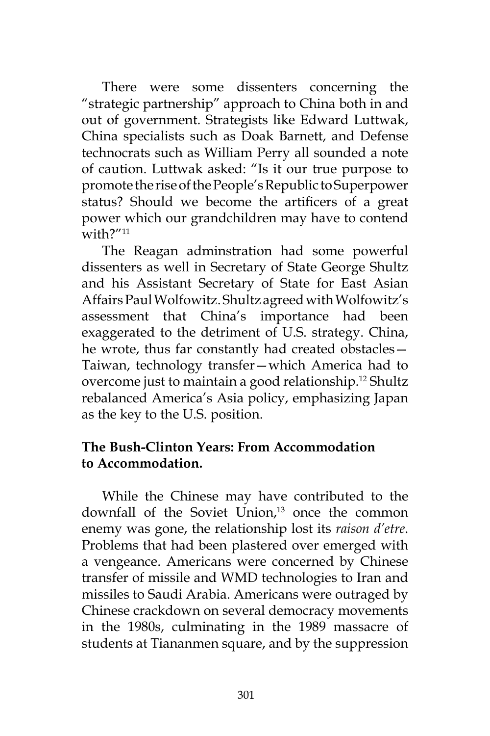There were some dissenters concerning the "strategic partnership" approach to China both in and out of government. Strategists like Edward Luttwak, China specialists such as Doak Barnett, and Defense technocrats such as William Perry all sounded a note of caution. Luttwak asked: "Is it our true purpose to promote the rise of the People's Republic to Superpower status? Should we become the artificers of a great power which our grandchildren may have to contend with?"11

The Reagan adminstration had some powerful dissenters as well in Secretary of State George Shultz and his Assistant Secretary of State for East Asian Affairs Paul Wolfowitz. Shultz agreed with Wolfowitz's assessment that China's importance had been exaggerated to the detriment of U.S. strategy. China, he wrote, thus far constantly had created obstacles— Taiwan, technology transfer—which America had to overcome just to maintain a good relationship.12 Shultz rebalanced America's Asia policy, emphasizing Japan as the key to the U.S. position.

## **The Bush-Clinton Years: From Accommodation to Accommodation.**

While the Chinese may have contributed to the downfall of the Soviet Union,<sup>13</sup> once the common enemy was gone, the relationship lost its *raison d'etre*. Problems that had been plastered over emerged with a vengeance. Americans were concerned by Chinese transfer of missile and WMD technologies to Iran and missiles to Saudi Arabia. Americans were outraged by Chinese crackdown on several democracy movements in the 1980s, culminating in the 1989 massacre of students at Tiananmen square, and by the suppression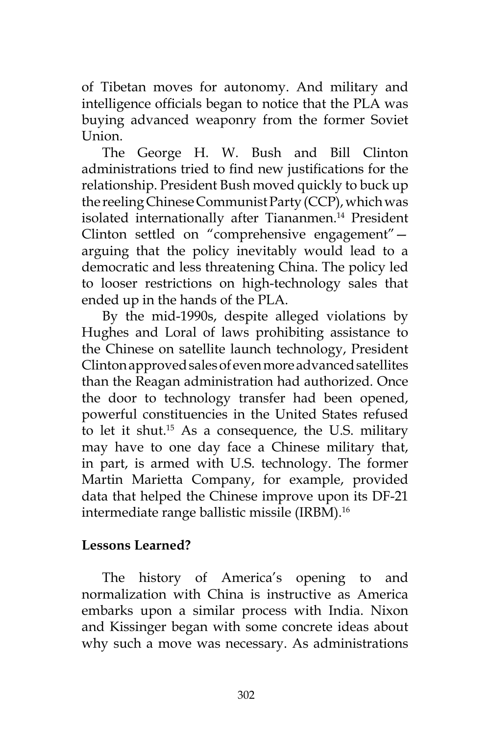of Tibetan moves for autonomy. And military and intelligence officials began to notice that the PLA was buying advanced weaponry from the former Soviet Union.

The George H. W. Bush and Bill Clinton administrations tried to find new justifications for the relationship. President Bush moved quickly to buck up the reeling Chinese Communist Party (CCP), which was isolated internationally after Tiananmen.<sup>14</sup> President Clinton settled on "comprehensive engagement" arguing that the policy inevitably would lead to a democratic and less threatening China. The policy led to looser restrictions on high-technology sales that ended up in the hands of the PLA.

By the mid-1990s, despite alleged violations by Hughes and Loral of laws prohibiting assistance to the Chinese on satellite launch technology, President Clinton approved sales of even more advanced satellites than the Reagan administration had authorized. Once the door to technology transfer had been opened, powerful constituencies in the United States refused to let it shut.<sup>15</sup> As a consequence, the U.S. military may have to one day face a Chinese military that, in part, is armed with U.S. technology. The former Martin Marietta Company, for example, provided data that helped the Chinese improve upon its DF-21 intermediate range ballistic missile (IRBM).16

# **Lessons Learned?**

The history of America's opening to and normalization with China is instructive as America embarks upon a similar process with India. Nixon and Kissinger began with some concrete ideas about why such a move was necessary. As administrations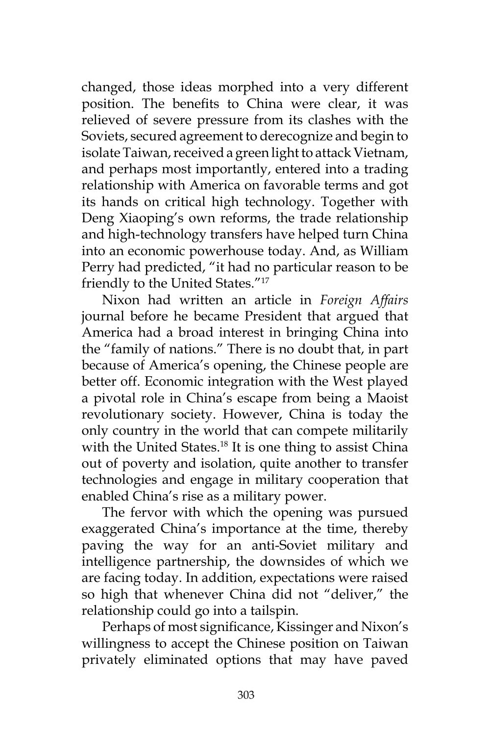changed, those ideas morphed into a very different position. The benefits to China were clear, it was relieved of severe pressure from its clashes with the Soviets, secured agreement to derecognize and begin to isolate Taiwan, received a green light to attack Vietnam, and perhaps most importantly, entered into a trading relationship with America on favorable terms and got its hands on critical high technology. Together with Deng Xiaoping's own reforms, the trade relationship and high-technology transfers have helped turn China into an economic powerhouse today. And, as William Perry had predicted, "it had no particular reason to be friendly to the United States."17

Nixon had written an article in *Foreign Affairs* journal before he became President that argued that America had a broad interest in bringing China into the "family of nations." There is no doubt that, in part because of America's opening, the Chinese people are better off. Economic integration with the West played a pivotal role in China's escape from being a Maoist revolutionary society. However, China is today the only country in the world that can compete militarily with the United States.<sup>18</sup> It is one thing to assist China out of poverty and isolation, quite another to transfer technologies and engage in military cooperation that enabled China's rise as a military power.

The fervor with which the opening was pursued exaggerated China's importance at the time, thereby paving the way for an anti-Soviet military and intelligence partnership, the downsides of which we are facing today. In addition, expectations were raised so high that whenever China did not "deliver," the relationship could go into a tailspin.

Perhaps of most significance, Kissinger and Nixon's willingness to accept the Chinese position on Taiwan privately eliminated options that may have paved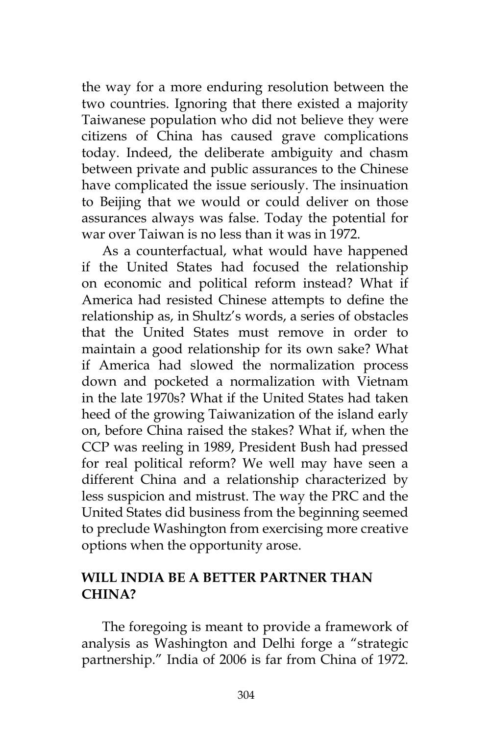the way for a more enduring resolution between the two countries. Ignoring that there existed a majority Taiwanese population who did not believe they were citizens of China has caused grave complications today. Indeed, the deliberate ambiguity and chasm between private and public assurances to the Chinese have complicated the issue seriously. The insinuation to Beijing that we would or could deliver on those assurances always was false. Today the potential for war over Taiwan is no less than it was in 1972.

As a counterfactual, what would have happened if the United States had focused the relationship on economic and political reform instead? What if America had resisted Chinese attempts to define the relationship as, in Shultz's words, a series of obstacles that the United States must remove in order to maintain a good relationship for its own sake? What if America had slowed the normalization process down and pocketed a normalization with Vietnam in the late 1970s? What if the United States had taken heed of the growing Taiwanization of the island early on, before China raised the stakes? What if, when the CCP was reeling in 1989, President Bush had pressed for real political reform? We well may have seen a different China and a relationship characterized by less suspicion and mistrust. The way the PRC and the United States did business from the beginning seemed to preclude Washington from exercising more creative options when the opportunity arose.

# **WILL INDIA BE A BETTER PARTNER THAN CHINA?**

The foregoing is meant to provide a framework of analysis as Washington and Delhi forge a "strategic partnership." India of 2006 is far from China of 1972.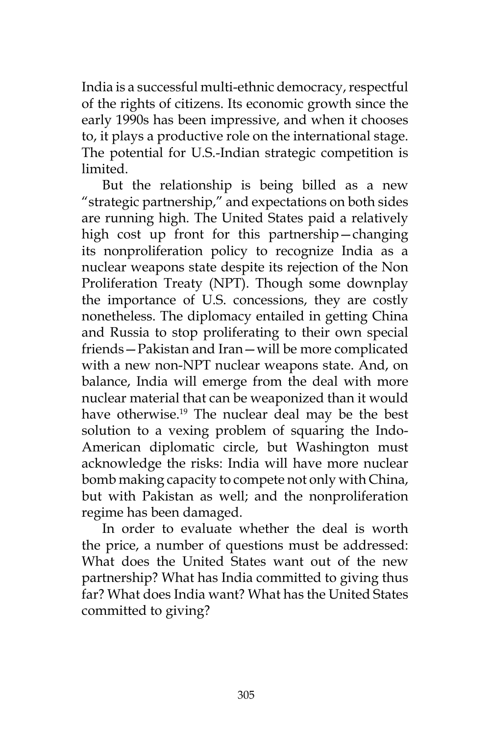India is a successful multi-ethnic democracy, respectful of the rights of citizens. Its economic growth since the early 1990s has been impressive, and when it chooses to, it plays a productive role on the international stage. The potential for U.S.-Indian strategic competition is limited.

But the relationship is being billed as a new "strategic partnership," and expectations on both sides are running high. The United States paid a relatively high cost up front for this partnership—changing its nonproliferation policy to recognize India as a nuclear weapons state despite its rejection of the Non Proliferation Treaty (NPT). Though some downplay the importance of U.S. concessions, they are costly nonetheless. The diplomacy entailed in getting China and Russia to stop proliferating to their own special friends—Pakistan and Iran—will be more complicated with a new non-NPT nuclear weapons state. And, on balance, India will emerge from the deal with more nuclear material that can be weaponized than it would have otherwise.<sup>19</sup> The nuclear deal may be the best solution to a vexing problem of squaring the Indo-American diplomatic circle, but Washington must acknowledge the risks: India will have more nuclear bomb making capacity to compete not only with China, but with Pakistan as well; and the nonproliferation regime has been damaged.

In order to evaluate whether the deal is worth the price, a number of questions must be addressed: What does the United States want out of the new partnership? What has India committed to giving thus far? What does India want? What has the United States committed to giving?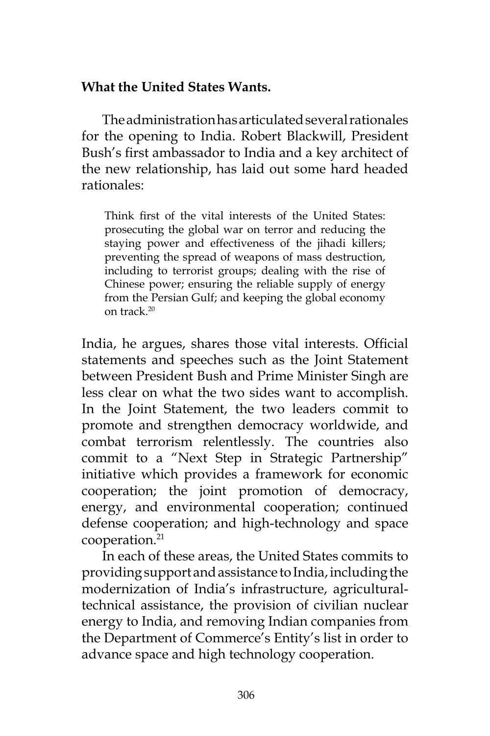### **What the United States Wants.**

The administration has articulated several rationales for the opening to India. Robert Blackwill, President Bush's first ambassador to India and a key architect of the new relationship, has laid out some hard headed rationales:

Think first of the vital interests of the United States: prosecuting the global war on terror and reducing the staying power and effectiveness of the jihadi killers; preventing the spread of weapons of mass destruction, including to terrorist groups; dealing with the rise of Chinese power; ensuring the reliable supply of energy from the Persian Gulf; and keeping the global economy on track.20

India, he argues, shares those vital interests. Official statements and speeches such as the Joint Statement between President Bush and Prime Minister Singh are less clear on what the two sides want to accomplish. In the Joint Statement, the two leaders commit to promote and strengthen democracy worldwide, and combat terrorism relentlessly. The countries also commit to a "Next Step in Strategic Partnership" initiative which provides a framework for economic cooperation; the joint promotion of democracy, energy, and environmental cooperation; continued defense cooperation; and high-technology and space cooperation.<sup>21</sup>

In each of these areas, the United States commits to providing support and assistance to India, including the modernization of India's infrastructure, agriculturaltechnical assistance, the provision of civilian nuclear energy to India, and removing Indian companies from the Department of Commerce's Entity's list in order to advance space and high technology cooperation.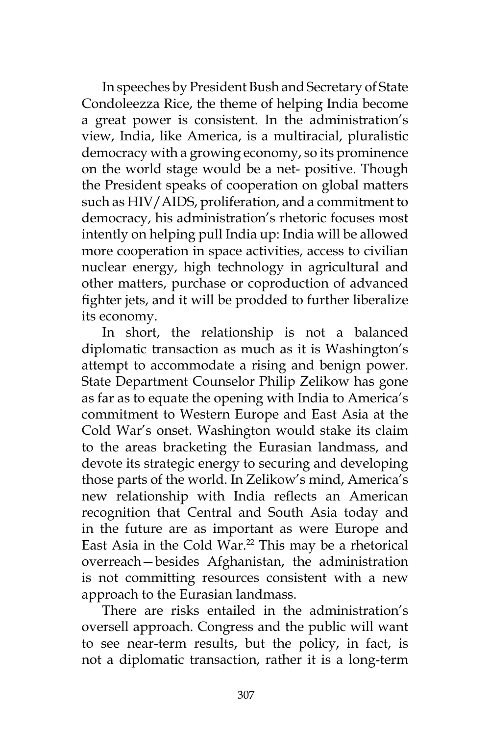In speeches by President Bush and Secretary of State Condoleezza Rice, the theme of helping India become a great power is consistent. In the administration's view, India, like America, is a multiracial, pluralistic democracy with a growing economy, so its prominence on the world stage would be a net- positive. Though the President speaks of cooperation on global matters such as HIV/AIDS, proliferation, and a commitment to democracy, his administration's rhetoric focuses most intently on helping pull India up: India will be allowed more cooperation in space activities, access to civilian nuclear energy, high technology in agricultural and other matters, purchase or coproduction of advanced fighter jets, and it will be prodded to further liberalize its economy.

In short, the relationship is not a balanced diplomatic transaction as much as it is Washington's attempt to accommodate a rising and benign power. State Department Counselor Philip Zelikow has gone as far as to equate the opening with India to America's commitment to Western Europe and East Asia at the Cold War's onset. Washington would stake its claim to the areas bracketing the Eurasian landmass, and devote its strategic energy to securing and developing those parts of the world. In Zelikow's mind, America's new relationship with India reflects an American recognition that Central and South Asia today and in the future are as important as were Europe and East Asia in the Cold War.<sup>22</sup> This may be a rhetorical overreach—besides Afghanistan, the administration is not committing resources consistent with a new approach to the Eurasian landmass.

There are risks entailed in the administration's oversell approach. Congress and the public will want to see near-term results, but the policy, in fact, is not a diplomatic transaction, rather it is a long-term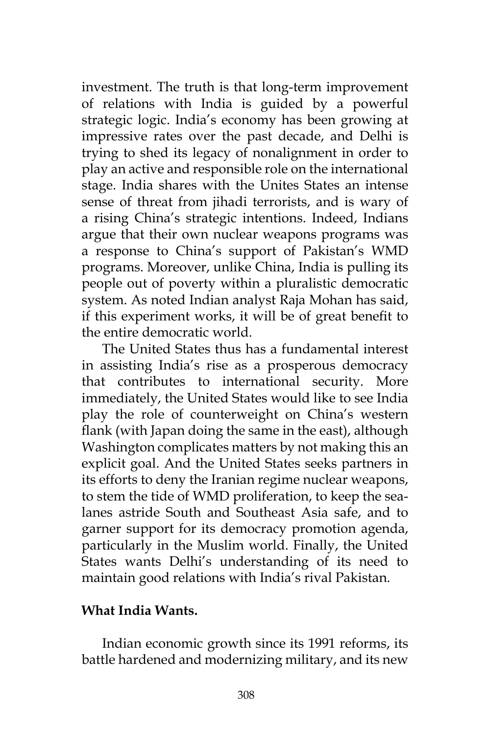investment. The truth is that long-term improvement of relations with India is guided by a powerful strategic logic. India's economy has been growing at impressive rates over the past decade, and Delhi is trying to shed its legacy of nonalignment in order to play an active and responsible role on the international stage. India shares with the Unites States an intense sense of threat from jihadi terrorists, and is wary of a rising China's strategic intentions. Indeed, Indians argue that their own nuclear weapons programs was a response to China's support of Pakistan's WMD programs. Moreover, unlike China, India is pulling its people out of poverty within a pluralistic democratic system. As noted Indian analyst Raja Mohan has said, if this experiment works, it will be of great benefit to the entire democratic world.

The United States thus has a fundamental interest in assisting India's rise as a prosperous democracy that contributes to international security. More immediately, the United States would like to see India play the role of counterweight on China's western flank (with Japan doing the same in the east), although Washington complicates matters by not making this an explicit goal. And the United States seeks partners in its efforts to deny the Iranian regime nuclear weapons, to stem the tide of WMD proliferation, to keep the sealanes astride South and Southeast Asia safe, and to garner support for its democracy promotion agenda, particularly in the Muslim world. Finally, the United States wants Delhi's understanding of its need to maintain good relations with India's rival Pakistan.

### **What India Wants.**

Indian economic growth since its 1991 reforms, its battle hardened and modernizing military, and its new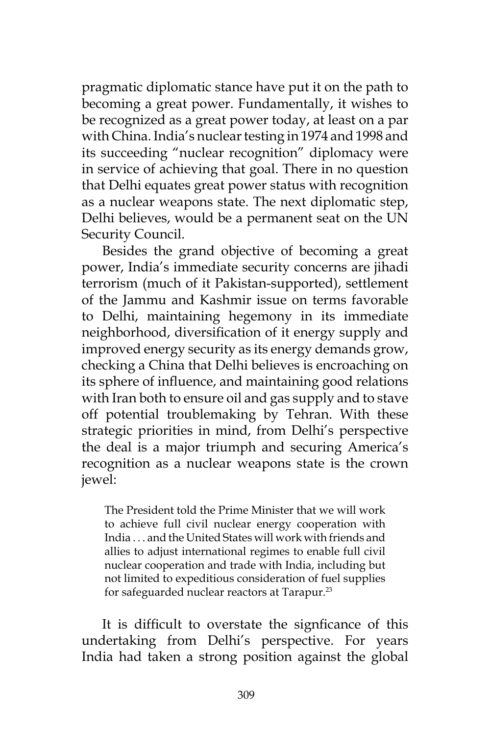pragmatic diplomatic stance have put it on the path to becoming a great power. Fundamentally, it wishes to be recognized as a great power today, at least on a par with China. India's nuclear testing in 1974 and 1998 and its succeeding "nuclear recognition" diplomacy were in service of achieving that goal. There in no question that Delhi equates great power status with recognition as a nuclear weapons state. The next diplomatic step, Delhi believes, would be a permanent seat on the UN Security Council.

Besides the grand objective of becoming a great power, India's immediate security concerns are jihadi terrorism (much of it Pakistan-supported), settlement of the Jammu and Kashmir issue on terms favorable to Delhi, maintaining hegemony in its immediate neighborhood, diversification of it energy supply and improved energy security as its energy demands grow, checking a China that Delhi believes is encroaching on its sphere of influence, and maintaining good relations with Iran both to ensure oil and gas supply and to stave off potential troublemaking by Tehran. With these strategic priorities in mind, from Delhi's perspective the deal is a major triumph and securing America's recognition as a nuclear weapons state is the crown jewel:

The President told the Prime Minister that we will work to achieve full civil nuclear energy cooperation with India . . . and the United States will work with friends and allies to adjust international regimes to enable full civil nuclear cooperation and trade with India, including but not limited to expeditious consideration of fuel supplies for safeguarded nuclear reactors at Tarapur.23

It is difficult to overstate the signficance of this undertaking from Delhi's perspective. For years India had taken a strong position against the global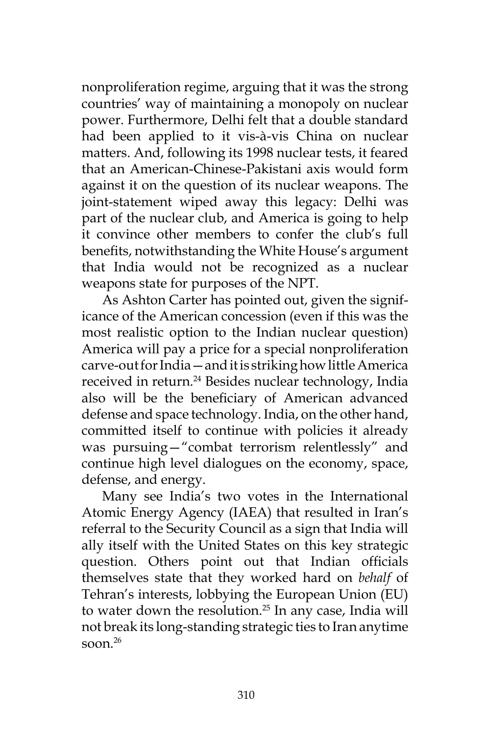nonproliferation regime, arguing that it was the strong countries' way of maintaining a monopoly on nuclear power. Furthermore, Delhi felt that a double standard had been applied to it vis-à-vis China on nuclear matters. And, following its 1998 nuclear tests, it feared that an American-Chinese-Pakistani axis would form against it on the question of its nuclear weapons. The joint-statement wiped away this legacy: Delhi was part of the nuclear club, and America is going to help it convince other members to confer the club's full benefits, notwithstanding the White House's argument that India would not be recognized as a nuclear weapons state for purposes of the NPT.

As Ashton Carter has pointed out, given the significance of the American concession (even if this was the most realistic option to the Indian nuclear question) America will pay a price for a special nonproliferation carve-out for India—and it is striking how little America received in return.<sup>24</sup> Besides nuclear technology, India also will be the beneficiary of American advanced defense and space technology. India, on the other hand, committed itself to continue with policies it already was pursuing—"combat terrorism relentlessly" and continue high level dialogues on the economy, space, defense, and energy.

Many see India's two votes in the International Atomic Energy Agency (IAEA) that resulted in Iran's referral to the Security Council as a sign that India will ally itself with the United States on this key strategic question. Others point out that Indian officials themselves state that they worked hard on *behalf* of Tehran's interests, lobbying the European Union (EU) to water down the resolution.<sup>25</sup> In any case, India will not break its long-standing strategic ties to Iran anytime soon $26$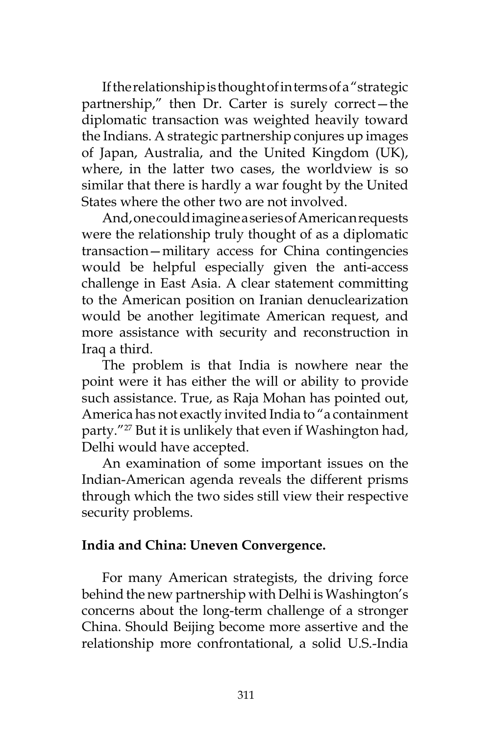If the relationship is thought of in terms of a "strategic partnership," then Dr. Carter is surely correct—the diplomatic transaction was weighted heavily toward the Indians. A strategic partnership conjures up images of Japan, Australia, and the United Kingdom (UK), where, in the latter two cases, the worldview is so similar that there is hardly a war fought by the United States where the other two are not involved.

And, one could imagine a series of American requests were the relationship truly thought of as a diplomatic transaction—military access for China contingencies would be helpful especially given the anti-access challenge in East Asia. A clear statement committing to the American position on Iranian denuclearization would be another legitimate American request, and more assistance with security and reconstruction in Iraq a third.

The problem is that India is nowhere near the point were it has either the will or ability to provide such assistance. True, as Raja Mohan has pointed out, America has not exactly invited India to "a containment party."<sup>27</sup> But it is unlikely that even if Washington had, Delhi would have accepted.

An examination of some important issues on the Indian-American agenda reveals the different prisms through which the two sides still view their respective security problems.

### **India and China: Uneven Convergence.**

For many American strategists, the driving force behind the new partnership with Delhi is Washington's concerns about the long-term challenge of a stronger China. Should Beijing become more assertive and the relationship more confrontational, a solid U.S.-India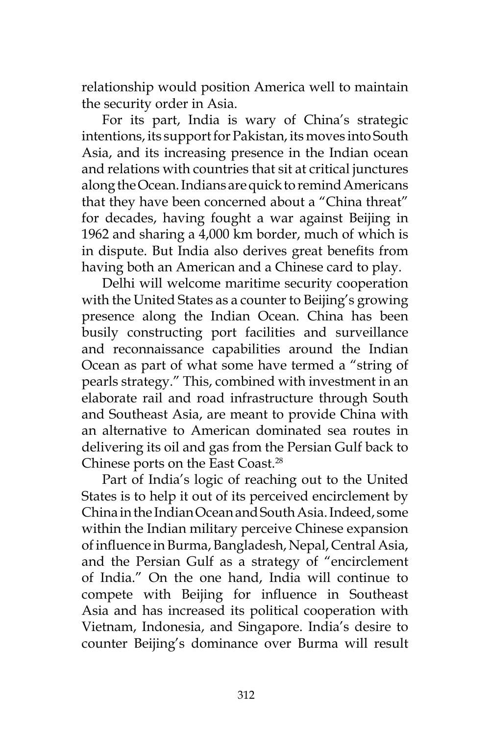relationship would position America well to maintain the security order in Asia.

For its part, India is wary of China's strategic intentions, its support for Pakistan, its moves into South Asia, and its increasing presence in the Indian ocean and relations with countries that sit at critical junctures along the Ocean. Indians are quick to remind Americans that they have been concerned about a "China threat" for decades, having fought a war against Beijing in 1962 and sharing a 4,000 km border, much of which is in dispute. But India also derives great benefits from having both an American and a Chinese card to play.

Delhi will welcome maritime security cooperation with the United States as a counter to Beijing's growing presence along the Indian Ocean. China has been busily constructing port facilities and surveillance and reconnaissance capabilities around the Indian Ocean as part of what some have termed a "string of pearls strategy." This, combined with investment in an elaborate rail and road infrastructure through South and Southeast Asia, are meant to provide China with an alternative to American dominated sea routes in delivering its oil and gas from the Persian Gulf back to Chinese ports on the East Coast.28

Part of India's logic of reaching out to the United States is to help it out of its perceived encirclement by China in the Indian Ocean and South Asia. Indeed, some within the Indian military perceive Chinese expansion of influence in Burma, Bangladesh, Nepal, Central Asia, and the Persian Gulf as a strategy of "encirclement of India." On the one hand, India will continue to compete with Beijing for influence in Southeast Asia and has increased its political cooperation with Vietnam, Indonesia, and Singapore. India's desire to counter Beijing's dominance over Burma will result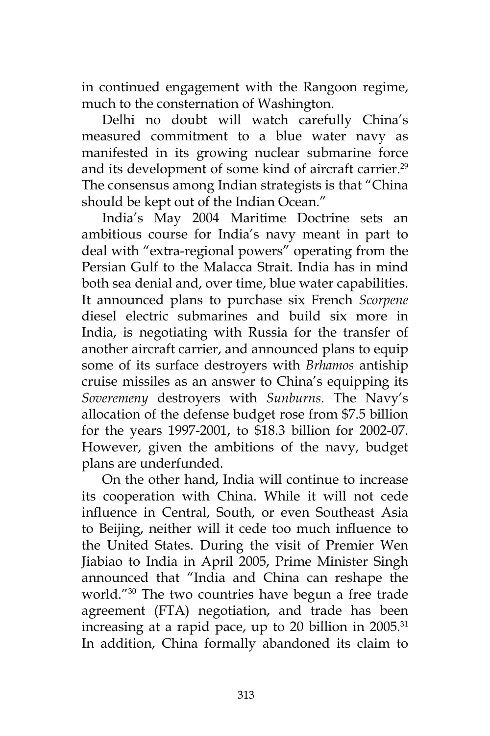in continued engagement with the Rangoon regime, much to the consternation of Washington.

Delhi no doubt will watch carefully China's measured commitment to a blue water navy as manifested in its growing nuclear submarine force and its development of some kind of aircraft carrier.<sup>29</sup> The consensus among Indian strategists is that "China should be kept out of the Indian Ocean."

India's May 2004 Maritime Doctrine sets an ambitious course for India's navy meant in part to deal with "extra-regional powers" operating from the Persian Gulf to the Malacca Strait. India has in mind both sea denial and, over time, blue water capabilities. It announced plans to purchase six French *Scorpene* diesel electric submarines and build six more in India, is negotiating with Russia for the transfer of another aircraft carrier, and announced plans to equip some of its surface destroyers with *Brhamos* antiship cruise missiles as an answer to China's equipping its *Soveremeny* destroyers with *Sunburns*. The Navy's allocation of the defense budget rose from \$7.5 billion for the years 1997-2001, to \$18.3 billion for 2002-07. However, given the ambitions of the navy, budget plans are underfunded.

On the other hand, India will continue to increase its cooperation with China. While it will not cede influence in Central, South, or even Southeast Asia to Beijing, neither will it cede too much influence to the United States. During the visit of Premier Wen Jiabiao to India in April 2005, Prime Minister Singh announced that "India and China can reshape the world."30 The two countries have begun a free trade agreement (FTA) negotiation, and trade has been increasing at a rapid pace, up to 20 billion in  $2005.^{31}$ In addition, China formally abandoned its claim to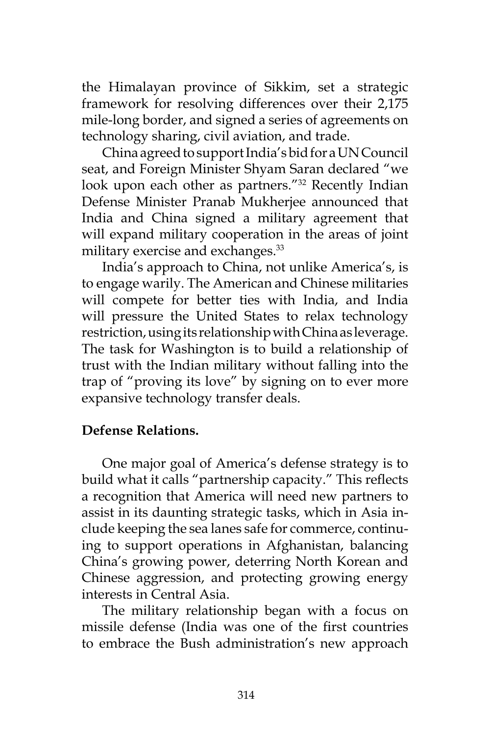the Himalayan province of Sikkim, set a strategic framework for resolving differences over their 2,175 mile-long border, and signed a series of agreements on technology sharing, civil aviation, and trade.

China agreed to support India's bid for a UN Council seat, and Foreign Minister Shyam Saran declared "we look upon each other as partners."<sup>32</sup> Recently Indian Defense Minister Pranab Mukherjee announced that India and China signed a military agreement that will expand military cooperation in the areas of joint military exercise and exchanges.<sup>33</sup>

India's approach to China, not unlike America's, is to engage warily. The American and Chinese militaries will compete for better ties with India, and India will pressure the United States to relax technology restriction, using its relationship with China as leverage. The task for Washington is to build a relationship of trust with the Indian military without falling into the trap of "proving its love" by signing on to ever more expansive technology transfer deals.

### **Defense Relations.**

One major goal of America's defense strategy is to build what it calls "partnership capacity." This reflects a recognition that America will need new partners to assist in its daunting strategic tasks, which in Asia include keeping the sea lanes safe for commerce, continuing to support operations in Afghanistan, balancing China's growing power, deterring North Korean and Chinese aggression, and protecting growing energy interests in Central Asia.

The military relationship began with a focus on missile defense (India was one of the first countries to embrace the Bush administration's new approach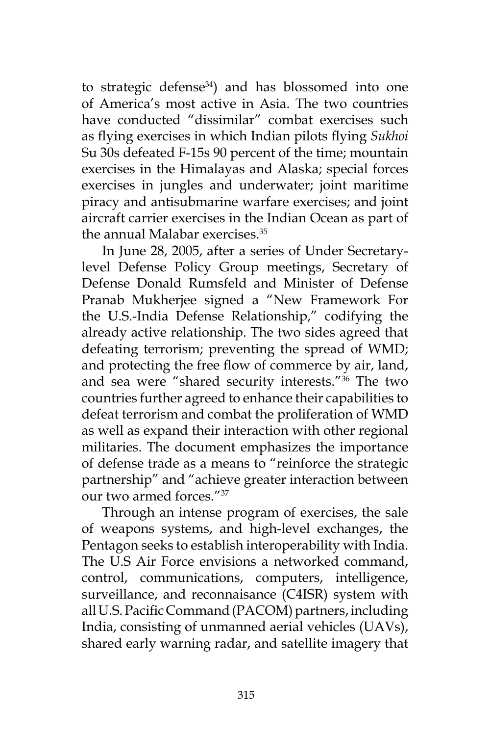to strategic defense<sup>34</sup>) and has blossomed into one of America's most active in Asia. The two countries have conducted "dissimilar" combat exercises such as flying exercises in which Indian pilots flying *Sukhoi* Su 30s defeated F-15s 90 percent of the time; mountain exercises in the Himalayas and Alaska; special forces exercises in jungles and underwater; joint maritime piracy and antisubmarine warfare exercises; and joint aircraft carrier exercises in the Indian Ocean as part of the annual Malabar exercises.<sup>35</sup>

In June 28, 2005, after a series of Under Secretarylevel Defense Policy Group meetings, Secretary of Defense Donald Rumsfeld and Minister of Defense Pranab Mukherjee signed a "New Framework For the U.S.-India Defense Relationship," codifying the already active relationship. The two sides agreed that defeating terrorism; preventing the spread of WMD; and protecting the free flow of commerce by air, land, and sea were "shared security interests."36 The two countries further agreed to enhance their capabilities to defeat terrorism and combat the proliferation of WMD as well as expand their interaction with other regional militaries. The document emphasizes the importance of defense trade as a means to "reinforce the strategic partnership" and "achieve greater interaction between our two armed forces."37

Through an intense program of exercises, the sale of weapons systems, and high-level exchanges, the Pentagon seeks to establish interoperability with India. The U.S Air Force envisions a networked command, control, communications, computers, intelligence, surveillance, and reconnaisance (C4ISR) system with all U.S. Pacific Command (PACOM) partners, including India, consisting of unmanned aerial vehicles (UAVs), shared early warning radar, and satellite imagery that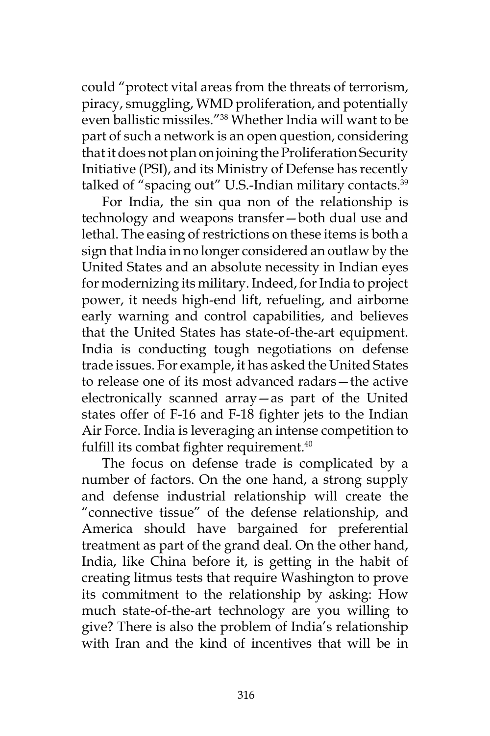could "protect vital areas from the threats of terrorism, piracy, smuggling, WMD proliferation, and potentially even ballistic missiles."38 Whether India will want to be part of such a network is an open question, considering that it does not plan on joining the Proliferation Security Initiative (PSI), and its Ministry of Defense has recently talked of "spacing out" U.S.-Indian military contacts.<sup>39</sup>

For India, the sin qua non of the relationship is technology and weapons transfer—both dual use and lethal. The easing of restrictions on these items is both a sign that India in no longer considered an outlaw by the United States and an absolute necessity in Indian eyes for modernizing its military. Indeed, for India to project power, it needs high-end lift, refueling, and airborne early warning and control capabilities, and believes that the United States has state-of-the-art equipment. India is conducting tough negotiations on defense trade issues. For example, it has asked the United States to release one of its most advanced radars—the active electronically scanned array—as part of the United states offer of F-16 and F-18 fighter jets to the Indian Air Force. India is leveraging an intense competition to fulfill its combat fighter requirement.<sup>40</sup>

The focus on defense trade is complicated by a number of factors. On the one hand, a strong supply and defense industrial relationship will create the "connective tissue" of the defense relationship, and America should have bargained for preferential treatment as part of the grand deal. On the other hand, India, like China before it, is getting in the habit of creating litmus tests that require Washington to prove its commitment to the relationship by asking: How much state-of-the-art technology are you willing to give? There is also the problem of India's relationship with Iran and the kind of incentives that will be in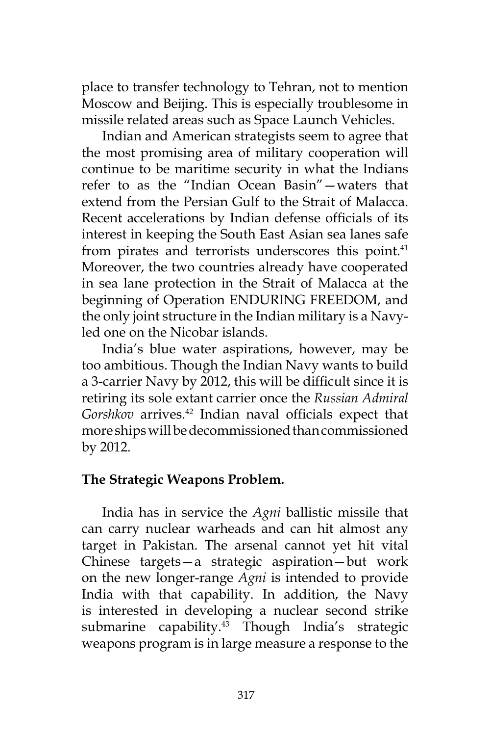place to transfer technology to Tehran, not to mention Moscow and Beijing. This is especially troublesome in missile related areas such as Space Launch Vehicles.

Indian and American strategists seem to agree that the most promising area of military cooperation will continue to be maritime security in what the Indians refer to as the "Indian Ocean Basin"—waters that extend from the Persian Gulf to the Strait of Malacca. Recent accelerations by Indian defense officials of its interest in keeping the South East Asian sea lanes safe from pirates and terrorists underscores this point.<sup>41</sup> Moreover, the two countries already have cooperated in sea lane protection in the Strait of Malacca at the beginning of Operation ENDURING FREEDOM, and the only joint structure in the Indian military is a Navyled one on the Nicobar islands.

India's blue water aspirations, however, may be too ambitious. Though the Indian Navy wants to build a 3-carrier Navy by 2012, this will be difficult since it is retiring its sole extant carrier once the *Russian Admiral Gorshkov* arrives.42 Indian naval officials expect that more ships will be decommissioned than commissioned by 2012.

# **The Strategic Weapons Problem.**

India has in service the *Agni* ballistic missile that can carry nuclear warheads and can hit almost any target in Pakistan. The arsenal cannot yet hit vital Chinese targets—a strategic aspiration—but work on the new longer-range *Agni* is intended to provide India with that capability. In addition, the Navy is interested in developing a nuclear second strike submarine capability.<sup>43</sup> Though India's strategic weapons program is in large measure a response to the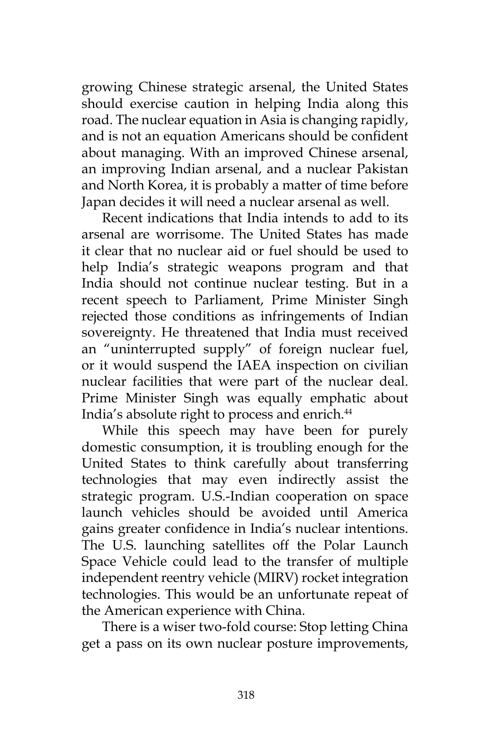growing Chinese strategic arsenal, the United States should exercise caution in helping India along this road. The nuclear equation in Asia is changing rapidly, and is not an equation Americans should be confident about managing. With an improved Chinese arsenal, an improving Indian arsenal, and a nuclear Pakistan and North Korea, it is probably a matter of time before Japan decides it will need a nuclear arsenal as well.

Recent indications that India intends to add to its arsenal are worrisome. The United States has made it clear that no nuclear aid or fuel should be used to help India's strategic weapons program and that India should not continue nuclear testing. But in a recent speech to Parliament, Prime Minister Singh rejected those conditions as infringements of Indian sovereignty. He threatened that India must received an "uninterrupted supply" of foreign nuclear fuel, or it would suspend the IAEA inspection on civilian nuclear facilities that were part of the nuclear deal. Prime Minister Singh was equally emphatic about India's absolute right to process and enrich.<sup>44</sup>

While this speech may have been for purely domestic consumption, it is troubling enough for the United States to think carefully about transferring technologies that may even indirectly assist the strategic program. U.S.-Indian cooperation on space launch vehicles should be avoided until America gains greater confidence in India's nuclear intentions. The U.S. launching satellites off the Polar Launch Space Vehicle could lead to the transfer of multiple independent reentry vehicle (MIRV) rocket integration technologies. This would be an unfortunate repeat of the American experience with China.

There is a wiser two-fold course: Stop letting China get a pass on its own nuclear posture improvements,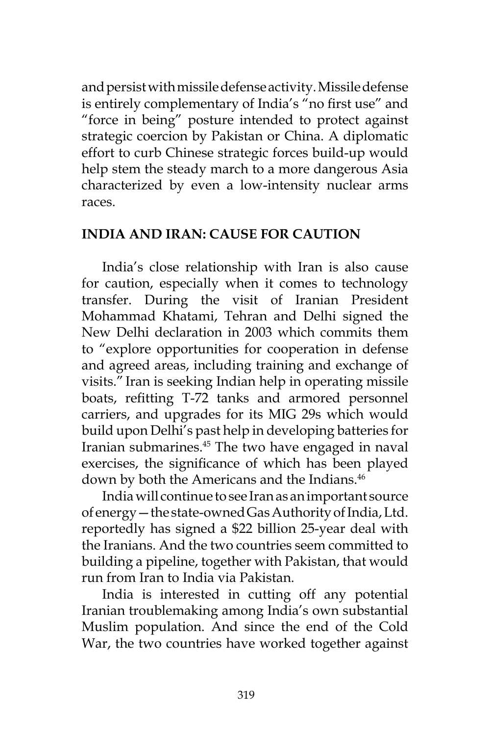and persist with missile defense activity. Missile defense is entirely complementary of India's "no first use" and "force in being" posture intended to protect against strategic coercion by Pakistan or China. A diplomatic effort to curb Chinese strategic forces build-up would help stem the steady march to a more dangerous Asia characterized by even a low-intensity nuclear arms races.

## **INDIA AND IRAN: CAUSE FOR CAUTION**

India's close relationship with Iran is also cause for caution, especially when it comes to technology transfer. During the visit of Iranian President Mohammad Khatami, Tehran and Delhi signed the New Delhi declaration in 2003 which commits them to "explore opportunities for cooperation in defense and agreed areas, including training and exchange of visits." Iran is seeking Indian help in operating missile boats, refitting T-72 tanks and armored personnel carriers, and upgrades for its MIG 29s which would build upon Delhi's past help in developing batteries for Iranian submarines.45 The two have engaged in naval exercises, the significance of which has been played down by both the Americans and the Indians.<sup>46</sup>

India will continue to see Iran as an important source of energy—the state-owned Gas Authority of India, Ltd. reportedly has signed a \$22 billion 25-year deal with the Iranians. And the two countries seem committed to building a pipeline, together with Pakistan, that would run from Iran to India via Pakistan.

India is interested in cutting off any potential Iranian troublemaking among India's own substantial Muslim population. And since the end of the Cold War, the two countries have worked together against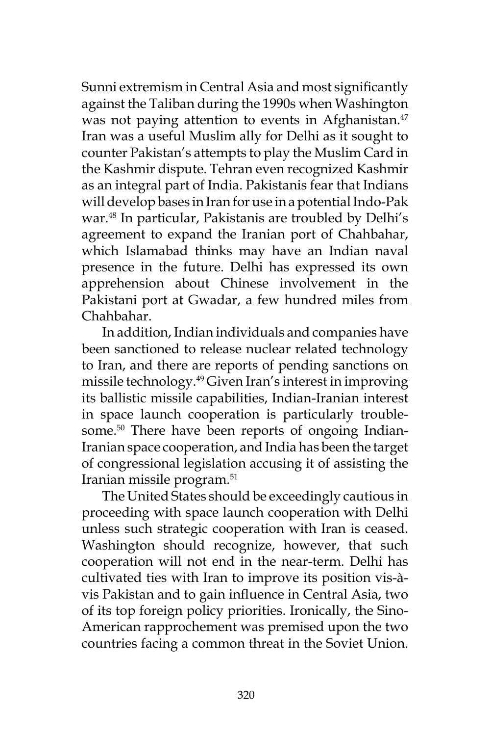Sunni extremism in Central Asia and most significantly against the Taliban during the 1990s when Washington was not paying attention to events in Afghanistan.<sup>47</sup> Iran was a useful Muslim ally for Delhi as it sought to counter Pakistan's attempts to play the Muslim Card in the Kashmir dispute. Tehran even recognized Kashmir as an integral part of India. Pakistanis fear that Indians will develop bases in Iran for use in a potential Indo-Pak war.48 In particular, Pakistanis are troubled by Delhi's agreement to expand the Iranian port of Chahbahar, which Islamabad thinks may have an Indian naval presence in the future. Delhi has expressed its own apprehension about Chinese involvement in the Pakistani port at Gwadar, a few hundred miles from Chahbahar.

In addition, Indian individuals and companies have been sanctioned to release nuclear related technology to Iran, and there are reports of pending sanctions on missile technology.49 Given Iran's interest in improving its ballistic missile capabilities, Indian-Iranian interest in space launch cooperation is particularly troublesome.<sup>50</sup> There have been reports of ongoing Indian-Iranian space cooperation, and India has been the target of congressional legislation accusing it of assisting the Iranian missile program.51

The United States should be exceedingly cautious in proceeding with space launch cooperation with Delhi unless such strategic cooperation with Iran is ceased. Washington should recognize, however, that such cooperation will not end in the near-term. Delhi has cultivated ties with Iran to improve its position vis-àvis Pakistan and to gain influence in Central Asia, two of its top foreign policy priorities. Ironically, the Sino-American rapprochement was premised upon the two countries facing a common threat in the Soviet Union.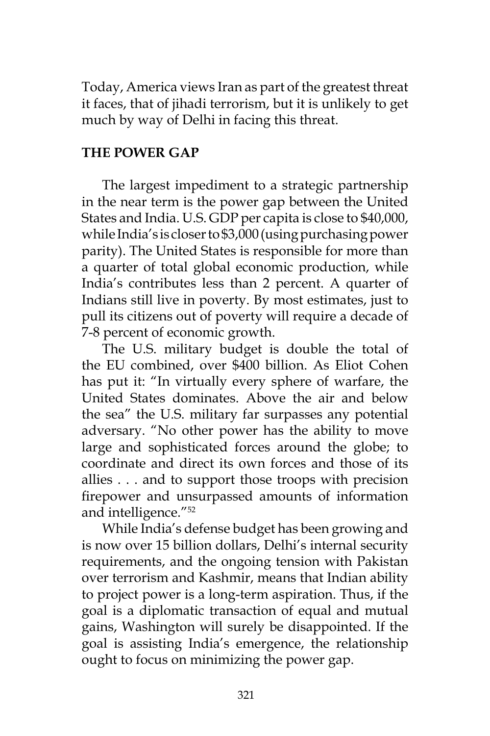Today, America views Iran as part of the greatest threat it faces, that of jihadi terrorism, but it is unlikely to get much by way of Delhi in facing this threat.

### **THE POWER GAP**

The largest impediment to a strategic partnership in the near term is the power gap between the United States and India. U.S. GDP per capita is close to \$40,000, while India's is closer to \$3,000 (using purchasing power parity). The United States is responsible for more than a quarter of total global economic production, while India's contributes less than 2 percent. A quarter of Indians still live in poverty. By most estimates, just to pull its citizens out of poverty will require a decade of 7-8 percent of economic growth.

The U.S. military budget is double the total of the EU combined, over \$400 billion. As Eliot Cohen has put it: "In virtually every sphere of warfare, the United States dominates. Above the air and below the sea" the U.S. military far surpasses any potential adversary. "No other power has the ability to move large and sophisticated forces around the globe; to coordinate and direct its own forces and those of its allies . . . and to support those troops with precision firepower and unsurpassed amounts of information and intelligence."52

While India's defense budget has been growing and is now over 15 billion dollars, Delhi's internal security requirements, and the ongoing tension with Pakistan over terrorism and Kashmir, means that Indian ability to project power is a long-term aspiration. Thus, if the goal is a diplomatic transaction of equal and mutual gains, Washington will surely be disappointed. If the goal is assisting India's emergence, the relationship ought to focus on minimizing the power gap.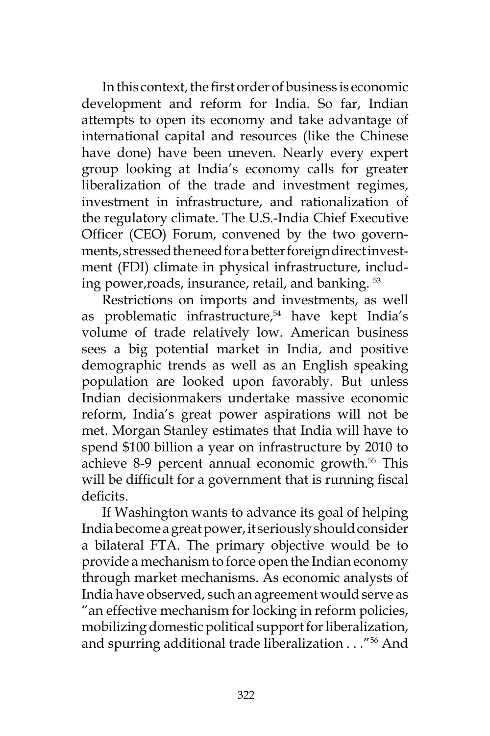In this context, the first order of business is economic development and reform for India. So far, Indian attempts to open its economy and take advantage of international capital and resources (like the Chinese have done) have been uneven. Nearly every expert group looking at India's economy calls for greater liberalization of the trade and investment regimes, investment in infrastructure, and rationalization of the regulatory climate. The U.S.-India Chief Executive Officer (CEO) Forum, convened by the two governments, stressed the need for a better foreign direct investment (FDI) climate in physical infrastructure, including power,roads, insurance, retail, and banking. 53

Restrictions on imports and investments, as well as problematic infrastructure,<sup>54</sup> have kept India's volume of trade relatively low. American business sees a big potential market in India, and positive demographic trends as well as an English speaking population are looked upon favorably. But unless Indian decisionmakers undertake massive economic reform, India's great power aspirations will not be met. Morgan Stanley estimates that India will have to spend \$100 billion a year on infrastructure by 2010 to achieve 8-9 percent annual economic growth.<sup>55</sup> This will be difficult for a government that is running fiscal deficits.

If Washington wants to advance its goal of helping India become a great power, it seriously should consider a bilateral FTA. The primary objective would be to provide a mechanism to force open the Indian economy through market mechanisms. As economic analysts of India have observed, such an agreement would serve as "an effective mechanism for locking in reform policies, mobilizing domestic political support for liberalization, and spurring additional trade liberalization . . ."56 And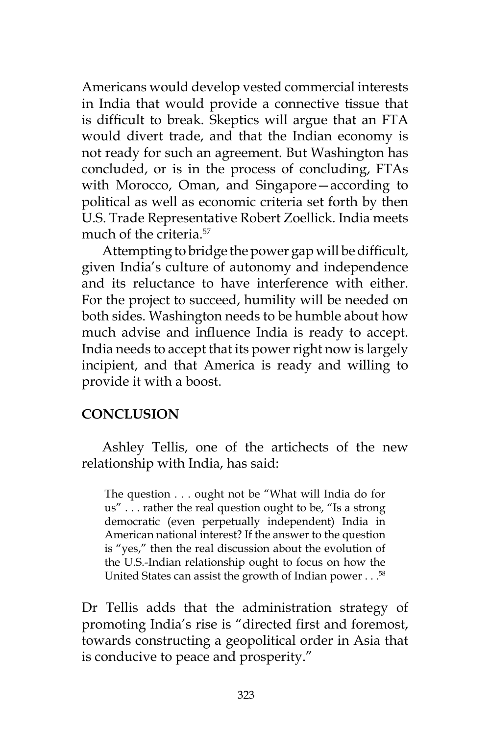Americans would develop vested commercial interests in India that would provide a connective tissue that is difficult to break. Skeptics will argue that an FTA would divert trade, and that the Indian economy is not ready for such an agreement. But Washington has concluded, or is in the process of concluding, FTAs with Morocco, Oman, and Singapore—according to political as well as economic criteria set forth by then U.S. Trade Representative Robert Zoellick. India meets much of the criteria.<sup>57</sup>

Attempting to bridge the power gap will be difficult, given India's culture of autonomy and independence and its reluctance to have interference with either. For the project to succeed, humility will be needed on both sides. Washington needs to be humble about how much advise and influence India is ready to accept. India needs to accept that its power right now is largely incipient, and that America is ready and willing to provide it with a boost.

### **CONCLUSION**

Ashley Tellis, one of the artichects of the new relationship with India, has said:

The question . . . ought not be "What will India do for us" . . . rather the real question ought to be, "Is a strong democratic (even perpetually independent) India in American national interest? If the answer to the question is "yes," then the real discussion about the evolution of the U.S.-Indian relationship ought to focus on how the United States can assist the growth of Indian power . . .<sup>58</sup>

Dr Tellis adds that the administration strategy of promoting India's rise is "directed first and foremost, towards constructing a geopolitical order in Asia that is conducive to peace and prosperity."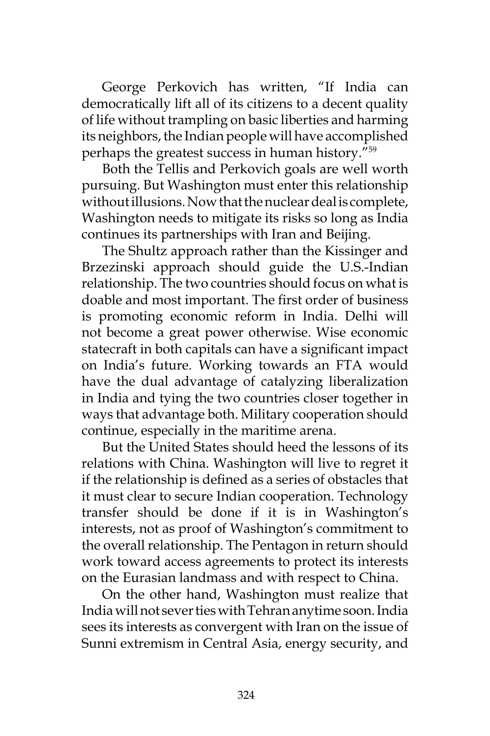George Perkovich has written, "If India can democratically lift all of its citizens to a decent quality of life without trampling on basic liberties and harming its neighbors, the Indian people will have accomplished perhaps the greatest success in human history."59

Both the Tellis and Perkovich goals are well worth pursuing. But Washington must enter this relationship without illusions. Now that the nuclear deal is complete, Washington needs to mitigate its risks so long as India continues its partnerships with Iran and Beijing.

The Shultz approach rather than the Kissinger and Brzezinski approach should guide the U.S.-Indian relationship. The two countries should focus on what is doable and most important. The first order of business is promoting economic reform in India. Delhi will not become a great power otherwise. Wise economic statecraft in both capitals can have a significant impact on India's future. Working towards an FTA would have the dual advantage of catalyzing liberalization in India and tying the two countries closer together in ways that advantage both. Military cooperation should continue, especially in the maritime arena.

But the United States should heed the lessons of its relations with China. Washington will live to regret it if the relationship is defined as a series of obstacles that it must clear to secure Indian cooperation. Technology transfer should be done if it is in Washington's interests, not as proof of Washington's commitment to the overall relationship. The Pentagon in return should work toward access agreements to protect its interests on the Eurasian landmass and with respect to China.

On the other hand, Washington must realize that India will not sever ties with Tehran anytime soon. India sees its interests as convergent with Iran on the issue of Sunni extremism in Central Asia, energy security, and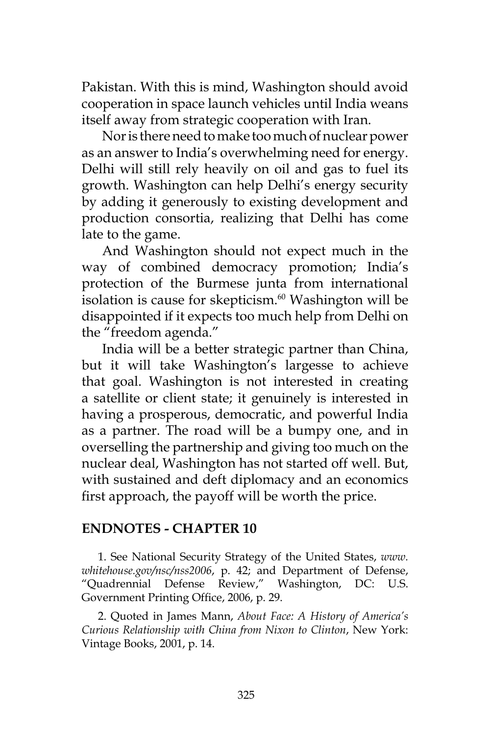Pakistan. With this is mind, Washington should avoid cooperation in space launch vehicles until India weans itself away from strategic cooperation with Iran.

Nor is there need to make too much of nuclear power as an answer to India's overwhelming need for energy. Delhi will still rely heavily on oil and gas to fuel its growth. Washington can help Delhi's energy security by adding it generously to existing development and production consortia, realizing that Delhi has come late to the game.

And Washington should not expect much in the way of combined democracy promotion; India's protection of the Burmese junta from international isolation is cause for skepticism. $60$  Washington will be disappointed if it expects too much help from Delhi on the "freedom agenda."

India will be a better strategic partner than China, but it will take Washington's largesse to achieve that goal. Washington is not interested in creating a satellite or client state; it genuinely is interested in having a prosperous, democratic, and powerful India as a partner. The road will be a bumpy one, and in overselling the partnership and giving too much on the nuclear deal, Washington has not started off well. But, with sustained and deft diplomacy and an economics first approach, the payoff will be worth the price.

### **ENDNOTES - CHAPTER 10**

1. See National Security Strategy of the United States, *www. whitehouse.gov/nsc/nss2006*, p. 42; and Department of Defense, "Quadrennial Defense Review," Washington, DC: U.S. Government Printing Office, 2006, p. 29.

2. Quoted in James Mann, *About Face: A History of America's Curious Relationship with China from Nixon to Clinton*, New York: Vintage Books, 2001, p. 14.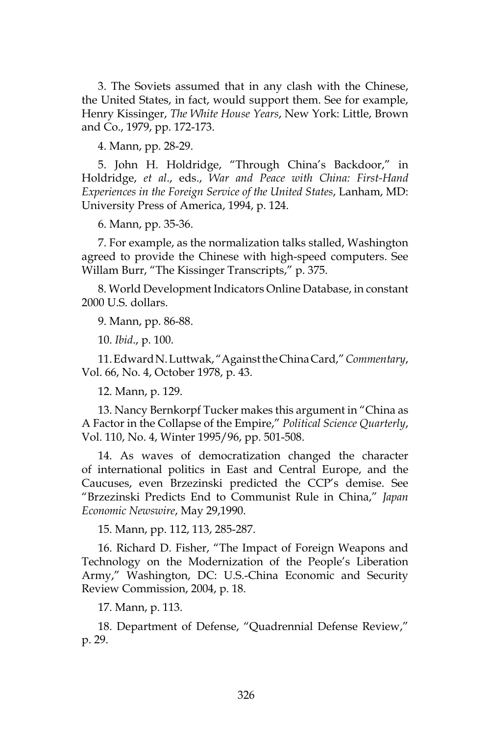3. The Soviets assumed that in any clash with the Chinese, the United States, in fact, would support them. See for example, Henry Kissinger, *The White House Years*, New York: Little, Brown and Co., 1979, pp. 172-173.

4. Mann, pp. 28-29.

5. John H. Holdridge, "Through China's Backdoor," in Holdridge, *et al*., eds., *War and Peace with China: First-Hand Experiences in the Foreign Service of the United States*, Lanham, MD: University Press of America, 1994, p. 124.

6. Mann, pp. 35-36.

7. For example, as the normalization talks stalled, Washington agreed to provide the Chinese with high-speed computers. See Willam Burr, "The Kissinger Transcripts," p. 375.

8. World Development Indicators Online Database, in constant 2000 U.S. dollars.

9. Mann, pp. 86-88.

10. *Ibid*., p. 100.

11. Edward N. Luttwak, "Against the China Card," *Commentary*, Vol. 66, No. 4, October 1978, p. 43.

12. Mann, p. 129.

13. Nancy Bernkorpf Tucker makes this argument in "China as A Factor in the Collapse of the Empire," *Political Science Quarterly*, Vol. 110, No. 4, Winter 1995/96, pp. 501-508.

14. As waves of democratization changed the character of international politics in East and Central Europe, and the Caucuses, even Brzezinski predicted the CCP's demise. See "Brzezinski Predicts End to Communist Rule in China," *Japan Economic Newswire*, May 29,1990.

15. Mann, pp. 112, 113, 285-287.

16. Richard D. Fisher, "The Impact of Foreign Weapons and Technology on the Modernization of the People's Liberation Army," Washington, DC: U.S.-China Economic and Security Review Commission, 2004, p. 18.

17. Mann, p. 113.

18. Department of Defense, "Quadrennial Defense Review," p. 29.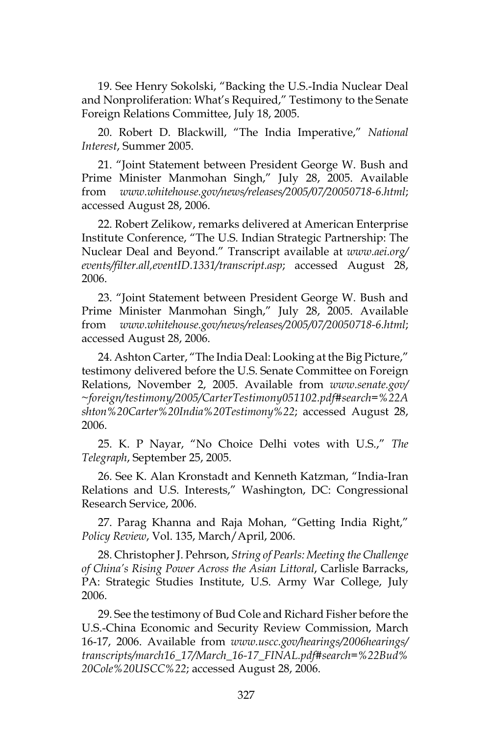19. See Henry Sokolski, "Backing the U.S.-India Nuclear Deal and Nonproliferation: What's Required," Testimony to the Senate Foreign Relations Committee, July 18, 2005.

20. Robert D. Blackwill, "The India Imperative," *National Interest*, Summer 2005.

21. "Joint Statement between President George W. Bush and Prime Minister Manmohan Singh," July 28, 2005. Available from *www.whitehouse.gov/news/releases/2005/07/20050718-6.html*; accessed August 28, 2006.

22. Robert Zelikow, remarks delivered at American Enterprise Institute Conference, "The U.S. Indian Strategic Partnership: The Nuclear Deal and Beyond." Transcript available at *www.aei.org/ events/filter.all,eventID.1331/transcript.asp*; accessed August 28, 2006.

23. "Joint Statement between President George W. Bush and Prime Minister Manmohan Singh," July 28, 2005. Available from *www.whitehouse.gov/news/releases/2005/07/20050718-6.html*; accessed August 28, 2006.

24. Ashton Carter, "The India Deal: Looking at the Big Picture," testimony delivered before the U.S. Senate Committee on Foreign Relations, November 2, 2005. Available from *www.senate.gov/ ~foreign/testimony/2005/CarterTestimony051102.pdf#search=%22A shton%20Carter%20India%20Testimony%22*; accessed August 28, 2006.

25. K. P Nayar, "No Choice Delhi votes with U.S.," *The Telegraph*, September 25, 2005.

26. See K. Alan Kronstadt and Kenneth Katzman, "India-Iran Relations and U.S. Interests," Washington, DC: Congressional Research Service, 2006.

27. Parag Khanna and Raja Mohan, "Getting India Right," *Policy Review*, Vol. 135, March/April, 2006.

28. Christopher J. Pehrson, *String of Pearls: Meeting the Challenge of China's Rising Power Across the Asian Littoral*, Carlisle Barracks, PA: Strategic Studies Institute, U.S. Army War College, July 2006.

29. See the testimony of Bud Cole and Richard Fisher before the U.S.-China Economic and Security Review Commission, March 16-17, 2006. Available from *www.uscc.gov/hearings/2006hearings/ transcripts/march16\_17/March\_16-17\_FINAL.pdf#search=%22Bud% 20Cole%20USCC%22*; accessed August 28, 2006.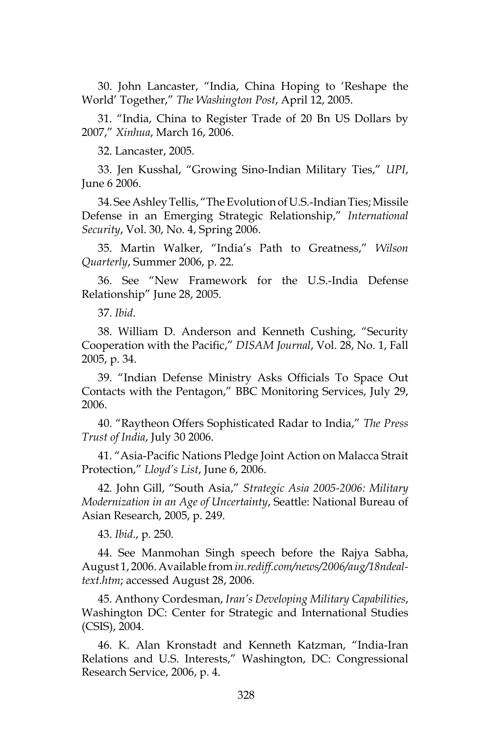30. John Lancaster, "India, China Hoping to 'Reshape the World' Together," *The Washington Post*, April 12, 2005.

31. "India, China to Register Trade of 20 Bn US Dollars by 2007," *Xinhua*, March 16, 2006.

32. Lancaster, 2005.

33. Jen Kusshal, "Growing Sino-Indian Military Ties," *UPI*, June 6 2006.

34. See Ashley Tellis, "The Evolution of U.S.-Indian Ties; Missile Defense in an Emerging Strategic Relationship," *International Security*, Vol. 30, No. 4, Spring 2006.

35. Martin Walker, "India's Path to Greatness," *Wilson Quarterly*, Summer 2006, p. 22.

36. See "New Framework for the U.S.-India Defense Relationship" June 28, 2005.

37. *Ibid*.

38. William D. Anderson and Kenneth Cushing, "Security Cooperation with the Pacific," *DISAM Journal*, Vol. 28, No. 1, Fall 2005, p. 34.

39. "Indian Defense Ministry Asks Officials To Space Out Contacts with the Pentagon," BBC Monitoring Services, July 29, 2006.

40. "Raytheon Offers Sophisticated Radar to India," *The Press Trust of India*, July 30 2006.

41. "Asia-Pacific Nations Pledge Joint Action on Malacca Strait Protection," *Lloyd's List*, June 6, 2006.

42. John Gill, "South Asia," *Strategic Asia 2005-2006: Military Modernization in an Age of Uncertainty*, Seattle: National Bureau of Asian Research, 2005, p. 249.

43. *Ibid*., p. 250.

44. See Manmohan Singh speech before the Rajya Sabha, August 1, 2006. Available from *in.rediff.com/news/2006/aug/18ndealtext.htm*; accessed August 28, 2006.

45. Anthony Cordesman, *Iran's Developing Military Capabilities*, Washington DC: Center for Strategic and International Studies (CSIS), 2004.

46. K. Alan Kronstadt and Kenneth Katzman, "India-Iran Relations and U.S. Interests," Washington, DC: Congressional Research Service, 2006, p. 4.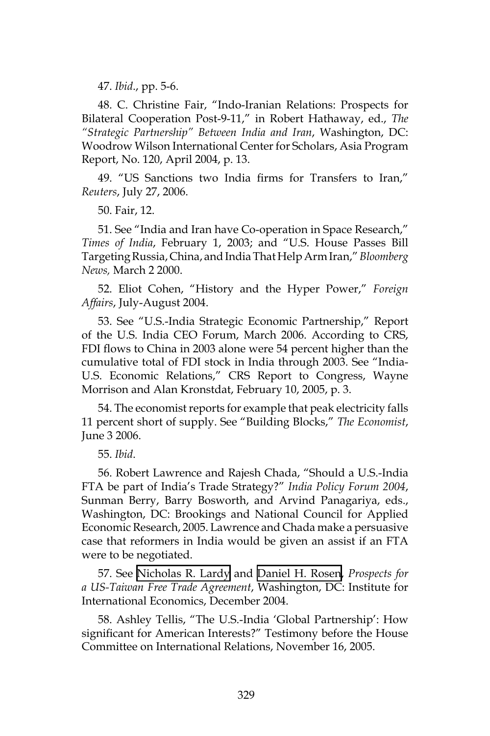47. *Ibid*., pp. 5-6.

48. C. Christine Fair, "Indo-Iranian Relations: Prospects for Bilateral Cooperation Post-9-11," in Robert Hathaway, ed., *The "Strategic Partnership" Between India and Iran*, Washington, DC: Woodrow Wilson International Center for Scholars, Asia Program Report, No. 120, April 2004, p. 13.

49. "US Sanctions two India firms for Transfers to Iran," *Reuters*, July 27, 2006.

50. Fair, 12.

51. See "India and Iran have Co-operation in Space Research," *Times of India*, February 1, 2003; and "U.S. House Passes Bill Targeting Russia, China, and India That Help Arm Iran," *Bloomberg News,* March 2 2000.

52. Eliot Cohen, "History and the Hyper Power," *Foreign Affairs*, July-August 2004.

53. See "U.S.-India Strategic Economic Partnership," Report of the U.S. India CEO Forum, March 2006. According to CRS, FDI flows to China in 2003 alone were 54 percent higher than the cumulative total of FDI stock in India through 2003. See "India-U.S. Economic Relations," CRS Report to Congress, Wayne Morrison and Alan Kronstdat, February 10, 2005, p. 3.

54. The economist reports for example that peak electricity falls 11 percent short of supply. See "Building Blocks," *The Economist*, June 3 2006.

55. *Ibid*.

56. Robert Lawrence and Rajesh Chada, "Should a U.S.-India FTA be part of India's Trade Strategy?" *India Policy Forum 2004*, Sunman Berry, Barry Bosworth, and Arvind Panagariya, eds., Washington, DC: Brookings and National Council for Applied Economic Research, 2005. Lawrence and Chada make a persuasive case that reformers in India would be given an assist if an FTA were to be negotiated.

57. See [Nicholas R. Lardy](http://www.iie.com/publications/author_bio.cfm?author_id=24) and [Daniel H. Rosen,](http://www.iie.com/publications/author_bio.cfm?author_id=18) *Prospects for a US-Taiwan Free Trade Agreement*, Washington, DC: Institute for International Economics, December 2004.

58. Ashley Tellis, "The U.S.-India 'Global Partnership': How significant for American Interests?" Testimony before the House Committee on International Relations, November 16, 2005.